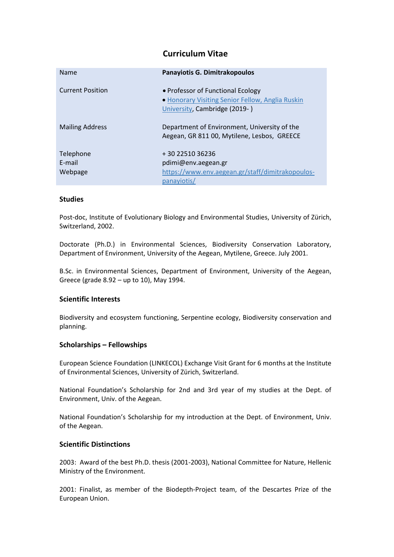# **Curriculum Vitae**

| <b>Name</b>                    | Panayiotis G. Dimitrakopoulos                                                                                          |
|--------------------------------|------------------------------------------------------------------------------------------------------------------------|
| <b>Current Position</b>        | • Professor of Functional Ecology<br>• Honorary Visiting Senior Fellow, Anglia Ruskin<br>University, Cambridge (2019-) |
| <b>Mailing Address</b>         | Department of Environment, University of the<br>Aegean, GR 811 00, Mytilene, Lesbos, GREECE                            |
| Telephone<br>E-mail<br>Webpage | +30 22510 36236<br>pdimi@env.aegean.gr<br>https://www.env.aegean.gr/staff/dimitrakopoulos-<br>panayiotis/              |

## **Studies**

Post-doc, Institute of Evolutionary Biology and Environmental Studies, University of Zürich, Switzerland, 2002.

Doctorate (Ph.D.) in Environmental Sciences, Biodiversity Conservation Laboratory, Department of Environment, University of the Aegean, Mytilene, Greece. July 2001.

B.Sc. in Environmental Sciences, Department of Environment, University of the Aegean, Greece (grade 8.92 – up to 10), May 1994.

## **Scientific Interests**

Biodiversity and ecosystem functioning, Serpentine ecology, Biodiversity conservation and planning.

## **Scholarships – Fellowships**

European Science Foundation (LINKECOL) Exchange Visit Grant for 6 months at the Institute of Environmental Sciences, University of Zürich, Switzerland.

National Foundation's Scholarship for 2nd and 3rd year of my studies at the Dept. of Environment, Univ. of the Aegean.

National Foundation's Scholarship for my introduction at the Dept. of Environment, Univ. of the Aegean.

## **Scientific Distinctions**

2003: Award of the best Ph.D. thesis (2001-2003), National Committee for Nature, Hellenic Ministry of the Environment.

2001: Finalist, as member of the Biodepth-Project team, of the Descartes Prize of the European Union.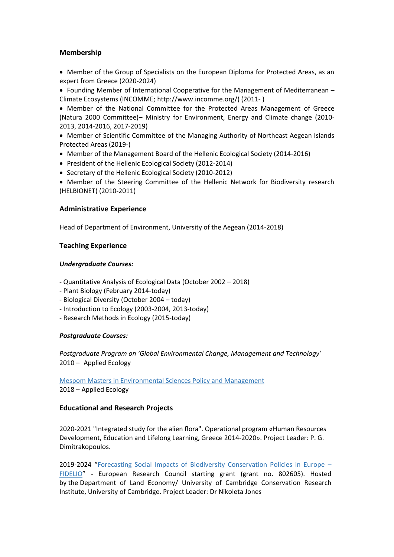## **Membership**

- Member of the Group of Specialists on the European Diploma for Protected Areas, as an expert from Greece (2020-2024)
- Founding Member of International Cooperative for the Management of Mediterranean Climate Ecosystems (INCOMME;<http://www.incomme.org/>) (2011- )

• Member of the National Committee for the Protected Areas Management of Greece (Natura 2000 Committee)– Ministry for Environment, Energy and Climate change (2010- 2013, 2014-2016, 2017-2019)

• Member of Scientific Committee of the Managing Authority of Northeast Aegean Islands Protected Areas (2019-)

- Member of the Management Board of the Hellenic Ecological Society (2014-2016)
- President of the Hellenic Ecological Society (2012-2014)
- Secretary of the Hellenic Ecological Society (2010-2012)

• Member of the Steering Committee of the Hellenic Network for Biodiversity research (HELBIONET) (2010-2011)

## **Administrative Experience**

Head of Department of Environment, University of the Aegean (2014-2018)

## **Teaching Experience**

## *Undergraduate Courses:*

- Quantitative Analysis of Ecological Data (October 2002 2018)
- Plant Biology (February 2014-today)
- Biological Diversity (October 2004 today)
- Introduction to Ecology (2003-2004, 2013-today)
- Research Methods in Ecology (2015-today)

## *Postgraduate Courses:*

*Postgraduate Program on 'Global Environmental Change, Management and Technology'* 2010 – Applied Ecology

### [Mespom Masters in Environmental Sciences Policy and Management](https://mespom.eu/) 2018 – Applied Ecology

## **Educational and Research Projects**

2020-2021 "Integrated study for the alien flora". Operational program «Human Resources Development, Education and Lifelong Learning, Greece 2014-2020». Project Leader: P. G. Dimitrakopoulos.

2019-2024 "[Forecasting Social Impacts of Biodiversity Conservation Policies in Europe](https://www.fidelio.landecon.cam.ac.uk/) – [FIDELIO](https://www.fidelio.landecon.cam.ac.uk/)" - European Research Council starting grant (grant no. 802605). Hosted by the Department of Land Economy/ University of Cambridge Conservation Research Institute, University of Cambridge. Project Leader: Dr Nikoleta Jones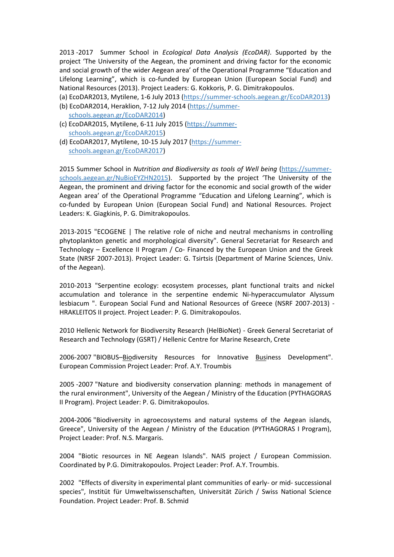2013 -2017 Summer School in *Ecological Data Analysis (EcoDAR)*. Supported by the project 'The University of the Aegean, the prominent and driving factor for the economic and social growth of the wider Aegean area' of the Operational Programme "Education and Lifelong Learning", which is co-funded by European Union (European Social Fund) and National Resources (2013). Project Leaders: G. Kokkoris, P. G. Dimitrakopoulos.

- (a) ΕcoDAR2013, Mytilene, 1-6 July 2013 [\(https://summer-schools.aegean.gr/EcoDAR2013\)](https://summer-schools.aegean.gr/EcoDAR2013)
- (b) EcoDAR2014, Heraklion, 7-12 July 2014 [\(https://summer](https://summer-schools.aegean.gr/EcoDAR2014)[schools.aegean.gr/EcoDAR2014\)](https://summer-schools.aegean.gr/EcoDAR2014)
- (c) ΕcoDAR2015, Mytilene, 6-11 July 2015 [\(https://summer](https://summer-schools.aegean.gr/EcoDAR2015)[schools.aegean.gr/EcoDAR2015\)](https://summer-schools.aegean.gr/EcoDAR2015)
- (d) ΕcoDAR2017, Mytilene, 10-15 July 2017 [\(https://summer](https://summer-schools.aegean.gr/EcoDAR2017)[schools.aegean.gr/EcoDAR2017\)](https://summer-schools.aegean.gr/EcoDAR2017)

2015 Summer School in *Nutrition and Biodiversity as tools of Well being* [\(https://summer](https://summer-schools.aegean.gr/NuBioEYZHN2015)[schools.aegean.gr/NuBioEYZHN2015](https://summer-schools.aegean.gr/NuBioEYZHN2015)). Supported by the project 'The University of the Aegean, the prominent and driving factor for the economic and social growth of the wider Aegean area' of the Operational Programme "Education and Lifelong Learning", which is co-funded by European Union (European Social Fund) and National Resources. Project Leaders: K. Giagkinis, P. G. Dimitrakopoulos.

2013-2015 "ECOGENE | The relative role of niche and neutral mechanisms in controlling phytoplankton genetic and morphological diversity". General Secretariat for Research and Technology – Excellence ΙΙ Program / Co- Financed by the European Union and the Greek State (NRSF 2007-2013). Project Leader: G. Tsirtsis (Department of Marine Sciences, Univ. of the Aegean).

2010-2013 "Serpentine ecology: ecosystem processes, plant functional traits and nickel accumulation and tolerance in the serpentine endemic Ni-hyperaccumulator Alyssum lesbiacum ". European Social Fund and National Resources of Greece (NSRF 2007-2013) - HRAKLEITOS II project. Project Leader: P. G. Dimitrakopoulos.

2010 Hellenic Network for Biodiversity Research (HelBioNet) - Greek General Secretariat of Research and Technology (GSRT) / Hellenic Centre for Marine Research, Crete

2006-2007 "BIOBUS–Biodiversity Resources for Innovative Business Development". European Commission Project Leader: Prof. A.Y. Troumbis

2005 -2007 "Nature and biodiversity conservation planning: methods in management of the rural environment", University of the Aegean / Ministry of the Education (PYTHAGORAS II Program). Project Leader: P. G. Dimitrakopoulos.

2004-2006 "Biodiversity in agroecosystems and natural systems of the Aegean islands, Greece", University of the Aegean / Ministry of the Education (PYTHAGORAS I Program), Project Leader: Prof. N.S. Margaris.

2004 "Biotic resources in NE Aegean Islands". NAIS project / European Commission. Coordinated by P.G. Dimitrakopoulos. Project Leader: Prof. A.Y. Troumbis.

2002 "Effects of diversity in experimental plant communities of early- or mid- successional species", Institüt für Umweltwissenschaften, Universität Zürich / Swiss National Science Foundation. Project Leader: Prof. B. Schmid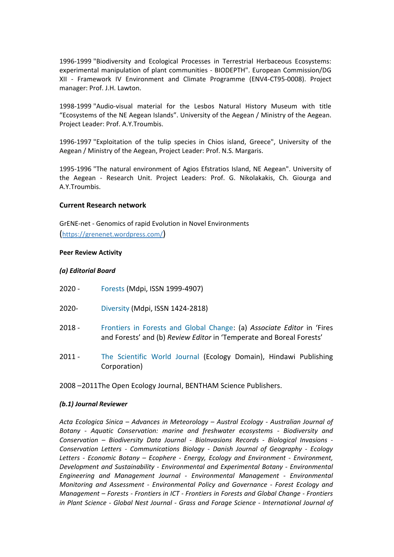1996-1999 "Biodiversity and Ecological Processes in Terrestrial Herbaceous Ecosystems: experimental manipulation of plant communities - BIODEPTH". European Commission/DG XII - Framework IV Environment and Climate Programme (ENV4-CT95-0008). Project manager: Prof. J.H. Lawton.

1998-1999 "Audio-visual material for the Lesbos Natural History Museum with title "Ecosystems of the NE Aegean Islands". University of the Aegean / Ministry of the Aegean. Project Leader: Prof. A.Y.Troumbis.

1996-1997 "Exploitation of the tulip species in Chios island, Greece", University of the Aegean / Ministry of the Aegean, Project Leader: Prof. N.S. Margaris.

1995-1996 "The natural environment of Agios Efstratios Island, NE Aegean". University of the Aegean - Research Unit. Project Leaders: Prof. G. Nikolakakis, Ch. Giourga and A.Y.Troumbis.

## **Current Research network**

GrENE-net - Genomics of rapid Evolution in Novel Environments (<https://grenenet.wordpress.com/>)

#### **Peer Review Activity**

### *(a) Editorial Board*

- 2020 [Forests](https://www.mdpi.com/journal/forests) (Mdpi, ISSN 1999-4907)
- 2020- [Diversity](https://www.mdpi.com/journal/diversity/about) (Mdpi, ISSN 1424-2818)
- 2018 [Frontiers in Forests and Global Change:](https://www.frontiersin.org/journals/forests-and-global-change#editorial-board) (a) *Associate Editor* in 'Fires and Forests' and (b) *Review Editor* in 'Temperate and Boreal Forests'
- 2011 The [Scientific](https://www.hindawi.com/journals/tswj/) World Journal (Ecology Domain), Hindawi Publishing Corporation)

2008 –2011The Open Ecology Journal, BENTHAM Science Publishers.

#### *(b.1) Journal Reviewer*

*Acta Ecologica Sinica – Advances in Meteorology – Austral Ecology - Australian Journal of Botany - Aquatic Conservation: marine and freshwater ecosystems - Biodiversity and Conservation – Biodiversity Data Journal - BioInvasions Records - Biological Invasions - Conservation Letters - Communications Biology - Danish Journal of Geography - Ecology Letters - Economic Botany – Ecophere - Energy, Ecology and Environment - Environment, Development and Sustainability - Environmental and Experimental Botany - Environmental Engineering and Management Journal - Environmental Management - Environmental Monitoring and Assessment - Environmental Policy and Governance - Forest Ecology and Management – Forests - Frontiers in ICT - Frontiers in Forests and Global Change - Frontiers in Plant Science - Global Nest Journal - Grass and Forage Science - International Journal of*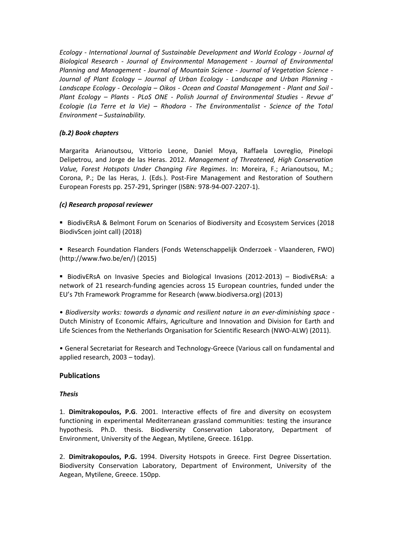*Ecology - International Journal of Sustainable Development and World Ecology - Journal of Biological Research - Journal of Environmental Management - Journal of Environmental Planning and Management - Journal of Mountain Science - Journal of Vegetation Science - Journal of Plant Ecology – Journal of Urban Ecology - Landscape and Urban Planning - Landscape Ecology - Oecologia – Oikos - Ocean and Coastal Management - Plant and Soil - Plant Ecology – Plants - PLoS ONE - Polish Journal of Environmental Studies - Revue d' Ecologie (La Terre et la Vie) – Rhodora - The Environmentalist - Science of the Total Environment – Sustainability.*

## *(b.2) Book chapters*

Margarita Arianoutsou, Vittorio Leone, Daniel Moya, Raffaela Lovreglio, Pinelopi Delipetrou, and Jorge de las Heras. 2012. *Management of Threatened, High Conservation Value, Forest Hotspots Under Changing Fire Regimes*. In: Moreira, F.; Arianoutsou, M.; Corona, P.; De las Heras, J. (Eds.). Post-Fire Management and Restoration of Southern European Forests pp. 257-291, Springer (ISBN: 978-94-007-2207-1).

## *(c) Research proposal reviewer*

BiodivERsA & Belmont Forum on Scenarios of Biodiversity and Ecosystem Services (2018 BiodivScen joint call) (2018)

 Research Foundation Flanders (Fonds Wetenschappelijk Onderzoek - Vlaanderen, FWO) [\(http://www.fwo.be/en/\)](http://www.fwo.be/en/) (2015)

 BiodivERsA on Invasive Species and Biological Invasions (2012-2013) – BiodivERsA: a network of 21 research-funding agencies across 15 European countries, funded under the [EU's 7th Framework Programme](http://cordis.europa.eu/fp7/capacities/research-infrastructures_en.html) for Research [\(www.biodiversa.org\)](http://www.biodiversa.org/) (2013)

• *Biodiversity works: towards a dynamic and resilient nature in an ever-diminishing space* - Dutch Ministry of Economic Affairs, Agriculture and Innovation and Division for Earth and Life Sciences from the Netherlands Organisation for Scientific Research (NWO-ALW) (2011).

• General Secretariat for Research and Technology-Greece (Various call on fundamental and applied research, 2003 – today).

## **Publications**

## *Thesis*

1. **Dimitrakopoulos, P.G**. 2001. Interactive effects of fire and diversity on ecosystem functioning in experimental Mediterranean grassland communities: testing the insurance hypothesis. Ph.D. thesis. Biodiversity Conservation Laboratory, Department of Environment, University of the Aegean, Mytilene, Greece. 161pp.

2. **Dimitrakopoulos, P.G.** 1994. Diversity Hotspots in Greece. First Degree Dissertation. Biodiversity Conservation Laboratory, Department of Environment, University of the Aegean, Mytilene, Greece. 150pp.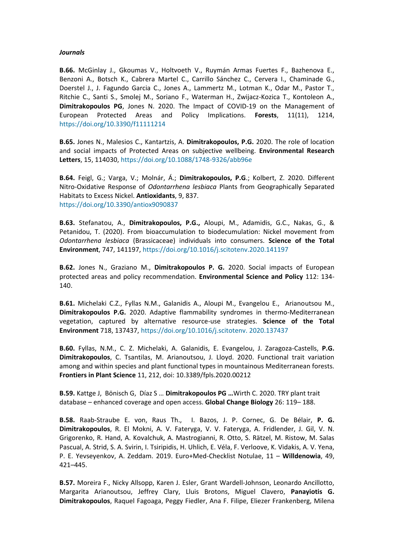#### *Journals*

**B.66.** McGinlay J., Gkoumas V., Holtvoeth V., Ruymán Armas Fuertes F., Bazhenova E., Benzoni A., Botsch K., Cabrera Martel C., Carrillo Sánchez C., Cervera I., Chaminade G., Doerstel J., J. Fagundo Garcia C., Jones A., Lammertz M., Lotman K., Odar M., Pastor T., Ritchie C., Santi S., Smolej M., Soriano F., Waterman H., Zwijacz-Kozica T., Kontoleon A., **Dimitrakopoulos PG**, Jones N. 2020. The Impact of COVID-19 on the Management of European Protected Areas and Policy Implications. **Forests**, 11(11), 1214, <https://doi.org/10.3390/f11111214>

**B.65.** Jones N., Malesios C., Kantartzis, A. **Dimitrakopoulos, P.G.** 2020. The role of location and social impacts of Protected Areas on subjective wellbeing. **Environmental Research Letters**, 15, 114030[, https://doi.org/10.1088/1748-9326/abb96e](https://doi.org/10.1088/1748-9326/abb96e)

**B.64.** Feigl, G.; Varga, V.; Molnár, Á.; **Dimitrakopoulos, P.G**.; Kolbert, Z. 2020. [Different](https://www.mdpi.com/2076-3921/9/9/837)  Nitro-Oxidative Response of *Odontarrhena lesbiaca* [Plants from Geographically Separated](https://www.mdpi.com/2076-3921/9/9/837)  [Habitats to Excess Nickel.](https://www.mdpi.com/2076-3921/9/9/837) **Antioxidants**, 9, 837. <https://doi.org/10.3390/antiox9090837>

**B.63.** Stefanatou, A., **Dimitrakopoulos, P.G.,** Aloupi, M., Adamidis, G.C., Nakas, G., & Petanidou, T. (2020). [From bioaccumulation to biodecumulation: Nickel movement from](https://www.sciencedirect.com/science/article/pii/S0048969720347264)  *Odontarrhena lesbiaca* [\(Brassicaceae\) individuals into consumers.](https://www.sciencedirect.com/science/article/pii/S0048969720347264) **Science of the Total Environment**, 747, 141197[, https://doi.org/10.1016/j.scitotenv.2020.141197](https://doi.org/10.1016/j.scitotenv.2020.141197) 

**Β.62.** Jones N., Graziano Μ., **Dimitrakopoulos P. G.** 2020. Social impacts of European protected areas and policy recommendation. **Environmental Science and Policy** 112: 134- 140.

**B.61.** Michelaki C.Z., Fyllas N.M., Galanidis A., Aloupi M., Evangelou E., Arianoutsou M., **Dimitrakopoulos P.G.** 2020. Adaptive flammability syndromes in thermo-Mediterranean vegetation, captured by alternative resource-use strategies. **Science of the Total Environment** 718, 137437, [https://doi.org/10.1016/j.scitotenv. 2020.137437](https://doi.org/10.1016/j.scitotenv.%202020.137437)

**B.60.** Fyllas, N.M., C. Z. Michelaki, A. Galanidis, E. Evangelou, J. Zaragoza-Castells, **P.G. Dimitrakopoulos**, C. Tsantilas, M. Arianoutsou, J. Lloyd. 2020. Functional trait variation among and within species and plant functional types in mountainous Mediterranean forests. **Frontiers in Plant Science** 11, 212, doi: 10.3389/fpls.2020.00212

**Β.59.** Kattge J, Bönisch G, Díaz S … **Dimitrakopoulos PG …**Wirth C. 2020. TRY plant trait database – enhanced coverage and open access. **Global Change Biology** 26: 119– 188.

**B.58.** Raab-Straube E. von, Raus Th., I. Bazos, J. P. Cornec, G. De Bélair, **P. G. Dimitrakopoulos**, R. El Mokni, A. V. Fateryga, V. V. Fateryga, A. Fridlender, J. Gil, V. N. Grigorenko, R. Hand, A. Kovalchuk, A. Mastrogianni, R. Otto, S. Rätzel, M. Ristow, M. Salas Pascual, A. Strid, S. A. Svirin, I. Tsiripidis, H. Uhlich, E. Véla, F. Verloove, K. Vidakis, A. V. Yena, P. E. Yevseyenkov, A. Zeddam. 2019. Euro+Med-Checklist Notulae, 11 – **Willdenowia**, 49, 421–445.

**Β.57.** Moreira F., Nicky Allsopp, Karen J. Esler, Grant Wardell‐Johnson, Leonardo Ancillotto, Margarita Arianoutsou, Jeffrey Clary, Lluis Brotons, Miguel Clavero, **Panayiotis G. Dimitrakopoulos**, Raquel Fagoaga, Peggy Fiedler, Ana F. Filipe, Eliezer Frankenberg, Milena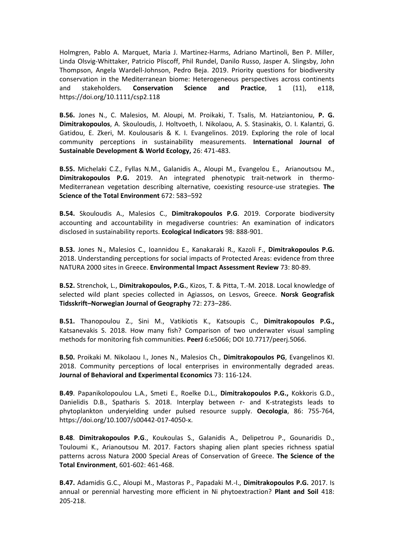Holmgren, Pablo A. Marquet, Maria J. Martinez‐Harms, Adriano Martinoli, Ben P. Miller, Linda Olsvig‐Whittaker, Patricio Pliscoff, Phil Rundel, Danilo Russo, Jasper A. Slingsby, John Thompson, Angela Wardell‐Johnson, Pedro Beja. 2019. Priority questions for biodiversity conservation in the Mediterranean biome: Heterogeneous perspectives across continents and stakeholders. **Conservation Science and Practice**, 1 (11), e118, <https://doi.org/10.1111/csp2.118>

**B.56.** Jones N., C. Malesios, M. Aloupi, M. Proikaki, T. Tsalis, M. Hatziantoniou, **P. G. Dimitrakopoulos**, A. Skouloudis, J. Holtvoeth, I. Nikolaou, A. S. Stasinakis, O. I. Kalantzi, G. Gatidou, E. Zkeri, M. Koulousaris & K. I. Evangelinos. 2019. Exploring the role of local community perceptions in sustainability measurements. **International Journal of Sustainable Development & World Ecology,** 26: 471-483.

**B.55.** Michelaki C.Z., Fyllas N.M., Galanidis A., Aloupi M., Evangelou E., Arianoutsou M., **Dimitrakopoulos P.G.** 2019. An integrated phenotypic trait-network in thermo-Mediterranean vegetation describing alternative, coexisting resource-use strategies. **The Science of the Total Environment** 672: 583–592

**B.54.** Skouloudis A., Malesios C., **Dimitrakopoulos P.G**. 2019. Corporate biodiversity accounting and accountability in megadiverse countries: An examination of indicators disclosed in sustainability reports. **Ecological Indicators** 98: 888-901.

**B.53.** Jones Ν., Malesios C., Ioannidou E., Kanakaraki R., Kazoli F., **Dimitrakopoulos P.G.** 2018. Understanding perceptions for social impacts of Protected Areas: evidence from three NATURA 2000 sites in Greece. **Environmental Impact Assessment Review** 73: 80-89.

**B.52.** Strenchok, L., **Dimitrakopoulos, P.G.**, Kizos, T. & Pitta, T.-M. 2018. Local knowledge of selected wild plant species collected in Agiassos, on Lesvos, Greece. **Norsk Geografisk Tidsskrift–Norwegian Journal of Geography** 72: 273–286.

**B.51.** Thanopoulou Z., Sini M., Vatikiotis K., Katsoupis C., **Dimitrakopoulos P.G.,** Katsanevakis S. 2018. How many fish? Comparison of two underwater visual sampling methods for monitoring fish communities. **PeerJ** 6:e5066; DOI 10.7717/peerj.5066.

**B.50.** Proikaki M. Nikolaou I., Jones N., Malesios Ch., **Dimitrakopoulos PG**, Evangelinos KI. 2018. Community perceptions of local enterprises in environmentally degraded areas. **[Journal of Behavioral and Experimental Economics](https://www.sciencedirect.com/science/journal/22148043)** [73:](https://www.sciencedirect.com/science/journal/22148043/73/supp/C) 116-124.

**B.49**. Papanikolopoulou L.A., Smeti E., Roelke D.L., **Dimitrakopoulos P.G.,** Kokkoris G.D., Danielidis D.B., Spatharis S. 2018. Interplay between r- and K-strategists leads to phytoplankton underyielding under pulsed resource supply. **Oecologia**, 86: 755-764, https://doi.org/10.1007/s00442-017-4050-x.

**B.48**. **Dimitrakopoulos P.G**., Koukoulas S., Galanidis A., Delipetrou P., Gounaridis D., Touloumi K., Arianoutsou M. 2017. Factors shaping alien plant species richness spatial patterns across Natura 2000 Special Areas of Conservation of Greece. **The Science of the Total Environment**, 601-602: 461-468.

**Β.47.** Adamidis G.C., Aloupi M., Mastoras P., Papadaki M.-I., **Dimitrakopoulos P.G.** 2017. Is annual or perennial harvesting more efficient in Ni phytoextraction? **Plant and Soil** 418: 205-218.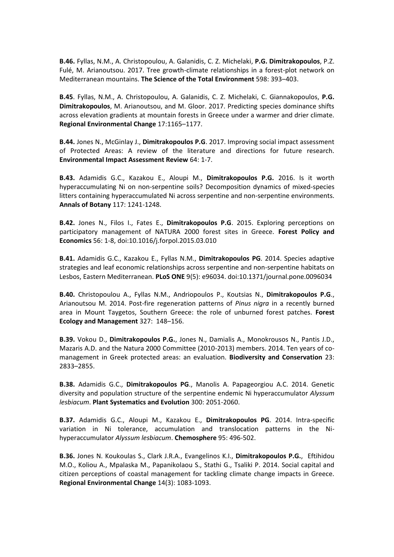**Β.46.** Fyllas, N.M., A. Christopoulou, A. Galanidis, C. Z. Michelaki, **P.G. Dimitrakopoulos**, P.Z. Fulé, M. Arianoutsou. 2017. Tree growth-climate relationships in a forest-plot network on Mediterranean mountains. **The Science of the Total Environment** 598: 393–403.

**B.45**. Fyllas, N.M., A. Christopoulou, A. Galanidis, C. Z. Michelaki, C. Giannakopoulos, **P.G. Dimitrakopoulos**, M. Arianoutsou, and M. Gloor. 2017. Predicting species dominance shifts across elevation gradients at mountain forests in Greece under a warmer and drier climate. **Regional Environmental Change** 17:1165–1177.

**Β.44.** Jones Ν., McGinlay J., **Dimitrakopoulos P.G**. 2017. Improving social impact assessment of Protected Areas: A review of the literature and directions for future research. **Environmental Impact Assessment Review** 64: 1-7.

**B.43.** Adamidis G.C., Kazakou E., Aloupi M., **Dimitrakopoulos P.G.** 2016. Is it worth hyperaccumulating Ni on non-serpentine soils? Decomposition dynamics of mixed-species litters containing hyperaccumulated Ni across serpentine and non-serpentine environments. **Annals of Botany** 117: 1241-1248.

**Β.42.** Jones Ν., Filos Ι., Fates Ε., **Dimitrakopoulos P.G**. 2015. Exploring perceptions on participatory management of NATURA 2000 forest sites in Greece. **Forest Policy and Economics** 56: 1-8[, doi:10.1016/j.forpol.2015.03.010](http://dx.doi.org/10.1016/j.forpol.2015.03.010)

**B.41.** Adamidis G.C., Kazakou E., Fyllas N.M., **Dimitrakopoulos PG**. 2014. Species adaptive strategies and leaf economic relationships across serpentine and non-serpentine habitats on Lesbos, Eastern Mediterranean. **PLoS ONE** 9(5): e96034. doi:10.1371/journal.pone.0096034

**B.40.** Christopoulou A., Fyllas N.M., Andriopoulos P., Koutsias N., **Dimitrakopoulos P.G**., Arianoutsou M. 2014. Post-fire regeneration patterns of *Pinus nigra* in a recently burned area in Mount Taygetos, Southern Greece: the role of unburned forest patches. **Forest Ecology and Management** 327: 148–156.

**B.39.** Vokou D., **Dimitrakopoulos P.G.**, Jones N., Damialis A., Monokrousos N., Pantis J.D., Mazaris A.D. and the Natura 2000 Committee (2010-2013) members. 2014. Ten years of comanagement in Greek protected areas: an evaluation. **Biodiversity and Conservation** 23: 2833–2855.

**Β.38.** Adamidis G.C., **Dimitrakopοulos PG**., Manolis A. Papageorgiou A.C. 2014. Genetic diversity and population structure of the serpentine endemic Ni hyperaccumulator *Alyssum lesbiacum*. **Plant Systematics and Evolution** 300: 2051-2060.

**Β.37.** Adamidis G.C., Aloupi Μ., Kazakou E., **Dimitrakopοulos PG**. 2014. Intra-specific variation in Ni tolerance, accumulation and translocation patterns in the Nihyperaccumulator *Alyssum lesbiacum*. **Chemosphere** 95: 496-502.

**B.36.** Jones N. Koukoulas S., Clark J.R.A., Evangelinos K.I., **Dimitrakopoulos P.G.**, Eftihidou M.O., Koliou A., Mpalaska M., Papanikolaou S., Stathi G., Tsaliki P. 2014. Social capital and citizen perceptions of coastal management for tackling climate change impacts in Greece. **Regional Environmental Change** 14(3): 1083-1093.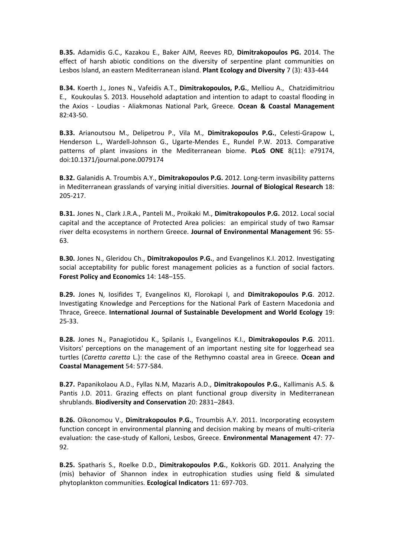**Β.35.** Adamidis G.C., Kazakou E., Baker AJM, Reeves RD, **Dimitrakopoulos PG.** 2014. The effect of harsh abiotic conditions on the diversity of serpentine plant communities on Lesbos Island, an eastern Mediterranean island. **Plant Ecology and Diversity** 7 (3): 433-444

**B.34.** Koerth J., Jones N., Vafeidis A.T., **Dimitrakopoulos, P.G.**, Melliou A., Chatzidimitriou E., Koukoulas S. 2013. Household adaptation and intention to adapt to coastal flooding in the Axios - Loudias - Aliakmonas National Park, Greece. **Ocean & Coastal Management** 82:43-50.

**Β.33.** Arianoutsou M., Delipetrou P., Vila M., **Dimitrakopoulos P.G.**, Celesti-Grapow L, Henderson L., Wardell-Johnson G., Ugarte-Mendes E., Rundel P.W. 2013. Comparative patterns of plant invasions in the Mediterranean biome. **PLoS ONE** 8(11): e79174, doi:10.1371/journal.pone.0079174

**Β.32.** Galanidis A. Troumbis A.Y., **Dimitrakopoulos P.G.** 2012. Long-term invasibility patterns in Mediterranean grasslands of varying initial diversities. **Journal of Biological Research** 18: 205-217.

**Β.31.** Jones Ν., Clark J.R.A., Panteli Μ., Proikaki Μ., **Dimitrakopoulos P.G.** 2012. Local social capital and the acceptance of Protected Area policies: an empirical study of two Ramsar river delta ecosystems in northern Greece. **Journal of Environmental Management** 96: 55- 63.

**Β.30.** Jones N., Gleridou Ch., **Dimitrakopoulos P.G.**, and Evangelinos K.I. 2012. Investigating social acceptability for public forest management policies as a function of social factors. **Forest Policy and Economics** 14: 148–155.

**Β.29.** Jones N, Iosifides T, Evangelinos KI, Florokapi I, and **Dimitrakopoulos P.G**. 2012. Investigating Knowledge and Perceptions for the National Park of Eastern Macedonia and Thrace, Greece. **International Journal of Sustainable Development and World Ecology** 19: 25-33.

**B.28.** Jones N., Panagiotidou K., Spilanis I., Evangelinos K.I., **Dimitrakopoulos P.G**. 2011. Visitors' perceptions on the management of an important nesting site for loggerhead sea turtles (*Caretta caretta* L.): the case of the Rethymno coastal area in Greece. **Ocean and Coastal Management** 54: 577-584.

**B.27.** Papanikolaou A.D., Fyllas N.M, Mazaris A.D., **Dimitrakopoulos P.G.**, Kallimanis A.S. & Pantis J.D. 2011. Grazing effects on plant functional group diversity in Mediterranean shrublands. **Biodiversity and Conservation** 20: 2831–2843.

**B.26.** Oikonomou V., **Dimitrakopoulos P.G.**, Τroumbis A.Y. 2011. Incorporating ecosystem function concept in environmental planning and decision making by means of multi-criteria evaluation: the case-study of Kalloni, Lesbos, Greece. **Environmental Management** 47: 77- 92.

**B.25.** Spatharis S., Roelke D.D., **Dimitrakopoulos P.G.**, Kokkoris GD. 2011. Analyzing the (mis) behavior of Shannon index in eutrophication studies using field & simulated phytoplankton communities. **Ecological Indicators** 11: 697-703.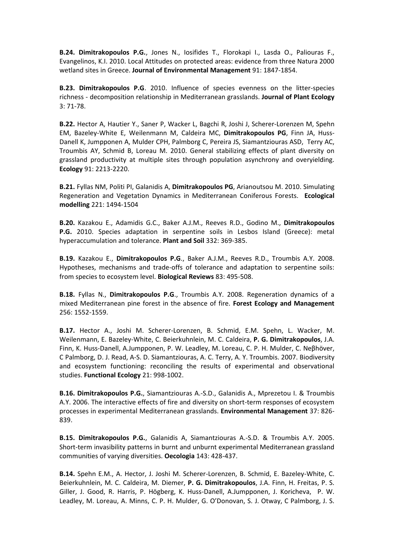**B.24. Dimitrakopoulos P.G.**, Jones N., Iosifides T., Florokapi I., Lasda O., Paliouras F., Evangelinos, K.I. 2010. Local Attitudes on protected areas: evidence from three Natura 2000 wetland sites in Greece. **Journal of Environmental Management** 91: 1847-1854.

**B.23. Dimitrakopoulos P.G**. 2010. Influence of species evenness on the litter-species richness - decomposition relationship in Mediterranean grasslands. **Journal of Plant Ecology** 3: 71-78.

**B.22.** Hector A, Hautier Y., Saner P, Wacker L, Bagchi R, Joshi J, Scherer-Lorenzen M, Spehn EM, Bazeley-White E, Weilenmann M, Caldeira MC, **Dimitrakopoulos PG**, Finn JA, Huss-Danell K, Jumpponen A, Mulder CPH, Palmborg C, Pereira JS, Siamantziouras ASD, Terry AC, Troumbis AY, Schmid B, Loreau M. 2010. General stabilizing effects of plant diversity on grassland productivity at multiple sites through population asynchrony and overyielding. **Ecology** 91: 2213-2220.

**Β.21.** Fyllas NM, Politi PI, Galanidis A, **Dimitrakopoulos PG**, Arianoutsou M. 2010. Simulating Regeneration and Vegetation Dynamics in Mediterranean Coniferous Forests. **Ecological modelling** 221: 1494-1504

**Β.20.** Kazakou E., Adamidis G.C., Baker A.J.M., Reeves R.D., Godino M., **Dimitrakopoulos P.G.** 2010. Species adaptation in serpentine soils in Lesbos Island (Greece): metal hyperaccumulation and tolerance. **Plant and Soil** 332: 369-385.

**Β.19.** Kazakou E., **Dimitrakopoulos P.G**., Baker A.J.M., Reeves R.D., Troumbis A.Y. 2008. Hypotheses, mechanisms and trade-offs of tolerance and adaptation to serpentine soils: from species to ecosystem level. **Biological Reviews** 83: 495-508.

**Β.18.** Fyllas N., **Dimitrakopoulos P.G**., Troumbis A.Y. 2008. Regeneration dynamics of a mixed Mediterranean pine forest in the absence of fire. **Forest Ecology and Management** 256: 1552-1559.

**Β.17.** Hector A., Joshi M. Scherer-Lorenzen, B. Schmid, E.M. Spehn, L. Wacker, M. Weilenmann, E. Bazeley-White, C. Beierkuhnlein, M. C. Caldeira, **P. G. Dimitrakopoulos**, J.A. Finn, K. Huss-Danell, A.Jumpponen, P. W. Leadley, M. Loreau, C. P. H. Mulder, C. Neβhöver, C Palmborg, D. J. Read, A-S. D. Siamantziouras, A. C. Terry, A. Y. Troumbis. 2007. Biodiversity and ecosystem functioning: reconciling the results of experimental and observational studies. **Functional Ecology** 21: 998-1002.

**Β.16. Dimitrakopoulos P.G.**, Siamantziouras A.-S.D., Galanidis A., Mprezetou I. & Troumbis A.Y. 2006. The interactive effects of fire and diversity on short-term responses of ecosystem processes in experimental Mediterranean grasslands. **Environmental Management** 37: 826- 839.

**Β.15. Dimitrakopoulos P.G.**, Galanidis A, Siamantziouras A.-S.D. & Troumbis A.Y. 2005. Short-term invasibility patterns in burnt and unburnt experimental Mediterranean grassland communities of varying diversities. **Oecologia** 143: 428-437.

**Β.14.** Spehn E.M., A. Hector, J. Joshi M. Scherer-Lorenzen, B. Schmid, E. Bazeley-White, C. Beierkuhnlein, M. C. Caldeira, M. Diemer, **P. G. Dimitrakopoulos**, J.A. Finn, H. Freitas, P. S. Giller, J. Good, R. Harris, P. Högberg, K. Huss-Danell, A.Jumpponen, J. Koricheva, P. W. Leadley, M. Loreau, A. Minns, C. P. H. Mulder, G. O'Donovan, S. J. Otway, C Palmborg, J. S.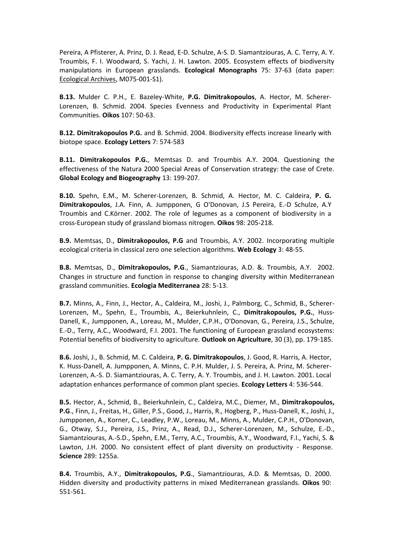Pereira, A Pfisterer, A. Prinz, D. J. Read, E-D. Schulze, A-S. D. Siamantziouras, A. C. Terry, A. Y. Troumbis, F. I. Woodward, S. Yachi, J. H. Lawton. 2005. Ecosystem effects of biodiversity manipulations in European grasslands. **Ecological Monographs** 75: 37-63 (data paper: Ecological Archives, M075-001-S1).

**Β.13.** Mulder C. P.H., E. Bazeley-White, **P.G. Dimitrakopoulos**, A. Hector, M. Scherer-Lorenzen, B. Schmid. 2004. Species Evenness and Productivity in Experimental Plant Communities. **Oikos** 107: 50-63.

**Β.12. Dimitrakopoulos P.G.** and B. Schmid. 2004. Biodiversity effects increase linearly with biotope space. **Ecology Letters** 7: 574-583

**Β.11. Dimitrakopoulos P.G.**, Memtsas D. and Troumbis A.Y. 2004. Questioning the effectiveness of the Natura 2000 Special Areas of Conservation strategy: the case of Crete. **Global Ecology and Biogeography** 13: 199-207.

**Β.10.** Spehn, E.M., M. Scherer-Lorenzen, B. Schmid, A. Hector, M. C. Caldeira, **P. G. Dimitrakopoulos**, J.A. Finn, A. Jumpponen, G O'Donovan, J.S Pereira, E.-D Schulze, A.Y Troumbis and C.Körner. 2002. The role of legumes as a component of biodiversity in a cross-European study of grassland biomass nitrogen. **Oikos** 98: 205-218.

**Β.9.** Memtsas, D., **Dimitrakopoulos, P.G** and Troumbis, A.Y. 2002. Incorporating multiple ecological criteria in classical zero one selection algorithms. **Web Ecology** 3: 48-55.

**Β.8.** Memtsas, D., **Dimitrakopoulos, P.G**., Siamantziouras, A.D. &. Troumbis, A.Y. 2002. Changes in structure and function in response to changing diversity within Mediterranean grassland communities. **Ecologia Mediterranea** 28: 5-13.

**B.7.** Minns, A., Finn, J., Hector, A., Caldeira, M., Joshi, J., Palmborg, C., Schmid, B., Scherer-Lorenzen, M., Spehn, E., Troumbis, A., Beierkuhnlein, C., **Dimitrakopoulos, P.G.**, Huss-Danell, K., Jumpponen, A., Loreau, M., Mulder, C.P.H., O'Donovan, G., Pereira, J.S., Schulze, E.-D., Terry, A.C., Woodward, F.I. 2001. The functioning of European grassland ecosystems: Potential benefits of biodiversity to agriculture. **Outlook on Agriculture**, 30 (3), pp. 179-185.

**Β.6.** Joshi, J., B. Schmid, M. C. Caldeira, **P. G. Dimitrakopoulos**, J. Good, R. Harris, A. Hector, K. Huss-Danell, A. Jumpponen, A. Minns, C. P.H. Mulder, J. S. Pereira, A. Prinz, M. Scherer-Lorenzen, A.-S. D. Siamantziouras, A. C. Terry, A. Y. Troumbis, and J. H. Lawton. 2001. Local adaptation enhances performance of common plant species. **Ecology Letters** 4: 536-544.

**Β.5.** Ηector, A., Schmid, B., Beierkuhnlein, C., Caldeira, M.C., Diemer, M., **Dimitrakopoulos, P.G**., Finn, J., Freitas, H., Giller, P.S., Good, J., Harris, R., Hogberg, P., Huss-Danell, K., Joshi, J., Jumpponen, A., Korner, C., Leadley, P.W., Loreau, M., Minns, A., Mulder, C.P.H., O'Donovan, G., Otway, S.J., Pereira, J.S., Prinz, A., Read, D.J., Scherer-Lorenzen, M., Schulze, E.-D., Siamantziouras, A.-S.D., Spehn, E.M., Terry, A.C., Troumbis, A.Y., Woodward, F.I., Yachi, S. & Lawton, J.H. 2000. No consistent effect of plant diversity on productivity - Response. **Science** 289: 1255a.

**Β.4.** Troumbis, A.Y., **Dimitrakopoulos, P.G**., Siamantziouras, A.D. & Memtsas, D. 2000. Hidden diversity and productivity patterns in mixed Mediterranean grasslands. **Oikos** 90: 551-561.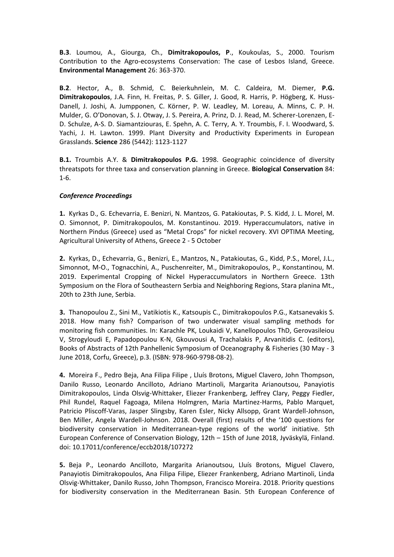**Β.3**. Loumou, A., Giourga, Ch., **Dimitrakopoulos, P**., Koukoulas, S., 2000. Tourism Contribution to the Agro-ecosystems Conservation: The case of Lesbos Island, Greece. **Environmental Management** 26: 363-370.

**Β.2**. Hector, A., B. Schmid, C. Beierkuhnlein, M. C. Caldeira, M. Diemer, **P.G. Dimitrakopoulos**, J.A. Finn, H. Freitas, P. S. Giller, J. Good, R. Harris, P. Högberg, K. Huss-Danell, J. Joshi, A. Jumpponen, C. Körner, P. W. Leadley, M. Loreau, A. Minns, C. P. H. Mulder, G. O'Donovan, S. J. Otway, J. S. Pereira, A. Prinz, D. J. Read, M. Scherer-Lorenzen, E-D. Schulze, A-S. D. Siamantziouras, E. Spehn, A. C. Terry, A. Y. Troumbis, F. I. Woodward, S. Yachi, J. H. Lawton. 1999. Plant Diversity and Productivity Experiments in European Grasslands. **Science** 286 (5442): 1123-1127

**Β.1.** Troumbis Α.Υ. & **Dimitrakopoulos P.G.** 1998. Geographic coincidence of diversity threatspots for three taxa and conservation planning in Greece. **Biological Conservation** 84: 1-6.

## *Conference Proceedings*

**1.** Kyrkas D., G. Echevarria, E. Benizri, N. Mantzos, G. Patakioutas, P. S. Kidd, J. L. Morel, M. O. Simonnot, P. Dimitrakopoulos, M. Konstantinou. 2019. Hyperaccumulators, native in Northern Pindus (Greece) used as "Metal Crops" for nickel recovery. XVI OPTIMA Meeting, Agricultural University of Athens, Greece 2 - 5 October

**2.** Kyrkas, D., Echevarria, G., Benizri, E., Mantzos, N., Patakioutas, G., Kidd, P.S., Morel, J.L., Simonnot, M-O., Tognacchini, A., Puschenreiter, M., Dimitrakopoulos, P., Konstantinou, M. 2019. Experimental Cropping of Nickel Hyperaccumulators in Northern Greece. 13th Symposium on the Flora of Southeastern Serbia and Neighboring Regions, Stara planina Mt., 20th to 23th June, Serbia.

**3.** Thanopoulou Z., Sini M., Vatikiotis K., Katsoupis C., Dimitrakopoulos P.G., Katsanevakis S. 2018. How many fish? Comparison of two underwater visual sampling methods for monitoring fish communities. In: Karachle PK, Loukaidi V, Kanellopoulos ThD, Gerovasileiou V, Strogyloudi E, Papadopoulou K-N, Gkouvousi A, Trachalakis P, Arvanitidis C. (editors), Books of Abstracts of 12th Panhellenic Symposium of Oceanography & Fisheries (30 May - 3 June 2018, Corfu, Greece), p.3. (ISBN: 978-960-9798-08-2).

**4.** Moreira F., Pedro Beja, Ana Filipa Filipe , Lluís Brotons, Miguel Clavero, John Thompson, Danilo Russo, Leonardo Ancilloto, Adriano Martinoli, Margarita Arianoutsou, Panayiotis Dimitrakopoulos, Linda Olsvig-Whittaker, Eliezer Frankenberg, Jeffrey Clary, Peggy Fiedler, Phil Rundel, Raquel Fagoaga, Milena Holmgren, Maria Martinez-Harms, Pablo Marquet, Patricio Pliscoff-Varas, Jasper Slingsby, Karen Esler, Nicky Allsopp, Grant Wardell-Johnson, Ben Miller, Angela Wardell-Johnson. 2018. Overall (first) results of the '100 questions for biodiversity conservation in Mediterranean-type regions of the world' initiative. 5th European Conference of Conservation Biology, 12th – 15th of June 2018, Jyväskylä, Finland. doi: 10.17011/conference/eccb2018/107272

**5.** Beja P., Leonardo Ancilloto, Margarita Arianoutsou, Lluís Brotons, Miguel Clavero, Panayiotis Dimitrakopoulos, Ana Filipa Filipe, Eliezer Frankenberg, Adriano Martinoli, Linda Olsvig-Whittaker, Danilo Russo, John Thompson, Francisco Moreira. 2018. Priority questions for biodiversity conservation in the Mediterranean Basin. 5th European Conference of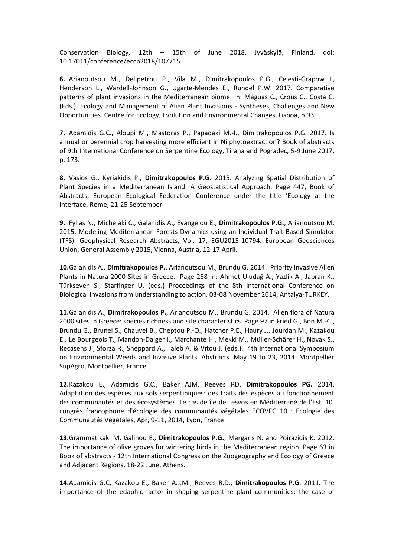Conservation Biology, 12th – 15th of June 2018, Jyväskylä, Finland. doi: 10.17011/conference/eccb2018/107715

**6.** Arianoutsou M., Delipetrou P., Vila M., Dimitrakopoulos P.G., Celesti-Grapow L, Henderson L., Wardell-Johnson G., Ugarte-Mendes E., Rundel P.W. 2017. Comparative patterns of plant invasions in the Mediterranean biome. In: Máguas C., Crous C., Costa C. (Eds.). Ecology and Management of Alien Plant Invasions - Syntheses, Challenges and New Opportunities. Centre for Ecology, Evolution and Environmental Changes, Lisboa, p.93.

**7.** Adamidis G.C., Aloupi M., Mastoras P., Papadaki M.-I., Dimitrakopoulos P.G. 2017. Is annual or perennial crop harvesting more efficient in Ni phytoextraction? Book of abstracts of 9th International Conference on Serpentine Ecology, Tirana and Pogradec, 5-9 June 2017, p. 173.

**8.** Vasios G., Kyriakidis P., **Dimitrakopoulos P.G.** 2015. Analyzing Spatial Distribution of Plant Species in a Mediterranean Island: A Geostatistical Approach. Page 447, Book of Abstracts, European Ecological Federation Conference under the title 'Ecology at the Interface, Rome, 21-25 September.

**9.** Fyllas N., Michelaki C., Galanidis A., Evangelou E., **Dimitrakopoulos P.G.**, Arianoutsou M. 2015. Modeling Mediterranean Forests Dynamics using an Individual-Trait-Based Simulator (TFS). Geophysical Research Abstracts, Vol. 17, EGU2015-10794. European Geosciences Union, General Assembly 2015, Vienna, Austria, 12-17 April.

**10.**Galanidis A., **Dimitrakopoulos P.**, Arianoutsou M., Brundu G. 2014. Priority Invasive Alien Plants in Natura 2000 Sites in Greece. Page 258 in: Ahmet Uludağ A., Yazlik A., Jabran K., Türkseven S., Starfinger U. (eds.) Proceedings of the 8th International Conference on Biological Invasions from understanding to action. 03-08 November 2014, Antalya-TURKEY.

**11.**Galanidis A., **Dimitrakopoulos P.**, Arianoutsou M., Brundu G. 2014. Alien flora of Natura 2000 sites in Greece: species richness and site characteristics. Page 97 in Fried G., Bon M.-C., Brundu G., Brunel S., Chauvel B., Cheptou P.-O., Hatcher P.E., Haury J., Jourdan M., Kazakou E., Le Bourgeois T., Mandon-Dalger I., Marchante H., Mekki M., Müller-Schärer H., Novak S., Recasens J., Sforza R., Sheppard A., Taleb A. & Vitou J. (eds.). 4th International Symposium on Environmental Weeds and Invasive Plants. Abstracts. May 19 to 23, 2014. Montpellier SupAgro, Montpellier, France.

**12.**Kazakou E., Adamidis G.C., Baker AJM, Reeves RD, **Dimitrakopοulos PG.** 2014. Adaptation des espèces aux sols serpentiniques: des traits des espèces au fonctionnement des communautés et des écosystèmes. Le cas de île de Lesvos en Méditerrané de l'Est. 10. congrès francophone d'écologie des communautés végétales ECOVEG 10 : Ecologie des Communautés Végétales, Apr, 9-11, 2014, Lyon, France

**13.**Grammatikaki M, Galinou E., **Dimitrakopoulos P.G.**, Margaris N. and Poirazidis K. 2012. The importance of olive groves for wintering birds in the Mediterranean region. Page 63 in Book of abstracts - 12th International Congress on the Zoogeography and Ecology of Greece and Adjacent Regions, 18-22 June, Athens.

**14.**Adamidis G.C, Kazakou E., Baker A.J.M., Reeves R.D., **Dimitrakopoulos P.G**. 2011. The importance of the edaphic factor in shaping serpentine plant communities: the case of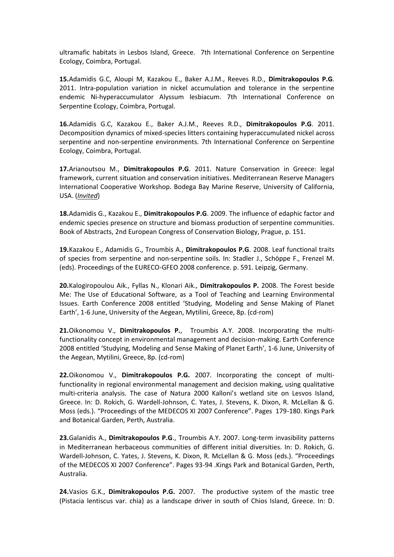ultramafic habitats in Lesbos Island, Greece. 7th International Conference on Serpentine Ecology, Coimbra, Portugal.

**15.**Adamidis G.C, Aloupi M, Kazakou E., Baker A.J.M., Reeves R.D., **Dimitrakopoulos P.G**. 2011. Intra-population variation in nickel accumulation and tolerance in the serpentine endemic Ni-hyperaccumulator Alyssum lesbiacum. 7th International Conference on Serpentine Ecology, Coimbra, Portugal.

**16.**Adamidis G.C, Kazakou E., Baker A.J.M., Reeves R.D., **Dimitrakopoulos P.G**. 2011. Decomposition dynamics of mixed-species litters containing hyperaccumulated nickel across serpentine and non-serpentine environments. 7th International Conference on Serpentine Ecology, Coimbra, Portugal.

**17.**Arianoutsou M., **Dimitrakopoulos P.G**. 2011. Nature Conservation in Greece: legal framework, current situation and conservation initiatives. Mediterranean Reserve Managers International Cooperative Workshop. Bodega Bay Marine Reserve, University of California, USA. (*Invited*)

**18.**Adamidis G., Kazakou E., **Dimitrakopoulos P.G**. 2009. The influence of edaphic factor and endemic species presence on structure and biomass production of serpentine communities. Book of Abstracts, 2nd European Congress of Conservation Biology, Prague, p. 151.

**19.**Kazakou E., Adamidis G., Troumbis A., **Dimitrakopoulos P.G**. 2008. Leaf functional traits of species from serpentine and non-serpentine soils. In: Stadler J., Schöppe F., Frenzel M. (eds). Proceedings of the EURECO-GFEO 2008 conference. p. 591. Leipzig, Germany.

**20.**Kalogiropoulou Aik., Fyllas N., Klonari Aik., **Dimitrakopoulos P.** 2008. The Forest beside Me: The Use of Educational Software, as a Tool of Teaching and Learning Environmental Issues. Earth Conference 2008 entitled 'Studying, Modeling and Sense Making of Planet Earth', 1-6 June, University of the Aegean, Mytilini, Greece, 8p. (cd-rom)

**21.**Oikonomou V., **Dimitrakopoulos P.**, Troumbis A.Y. 2008. Incorporating the multifunctionality concept in environmental management and decision-making. Earth Conference 2008 entitled 'Studying, Modeling and Sense Making of Planet Earth', 1-6 June, University of the Aegean, Mytilini, Greece, 8p. (cd-rom)

**22.**Oikonomou V., **Dimitrakopoulos P.G.** 2007. Incorporating the concept of multifunctionality in regional environmental management and decision making, using qualitative multi-criteria analysis. The case of Natura 2000 Kalloni's wetland site on Lesvos Island, Greece. In: D. Rokich, G. Wardell-Johnson, C. Yates, J. Stevens, K. Dixon, R. McLellan & G. Moss (eds.). "Proceedings of the MEDECOS XI 2007 Conference". Pages 179-180. Kings Park and Botanical Garden, Perth, Australia.

**23.**Galanidis A., **Dimitrakopoulos P.G**., Troumbis A.Y. 2007. Long-term invasibility patterns in Mediterranean herbaceous communities of different initial diversities. In: D. Rokich, G. Wardell-Johnson, C. Yates, J. Stevens, K. Dixon, R. McLellan & G. Moss (eds.). "Proceedings of the MEDECOS XI 2007 Conference". Pages 93-94 .Kings Park and Botanical Garden, Perth, Australia.

**24.**Vasios G.K., **Dimitrakopoulos P.G.** 2007. The productive system of the mastic tree (Pistacia lentiscus var. chia) as a landscape driver in south of Chios Island, Greece. In: D.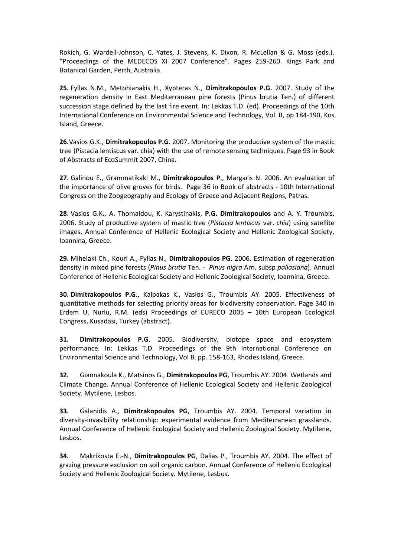Rokich, G. Wardell-Johnson, C. Yates, J. Stevens, K. Dixon, R. McLellan & G. Moss (eds.). "Proceedings of the MEDECOS XI 2007 Conference". Pages 259-260. Kings Park and Botanical Garden, Perth, Australia.

**25.** Fyllas N.M., Metohianakis H., Xypteras N., **Dimitrakopoulos P.G.** 2007. Study of the regeneration density in East Mediterranean pine forests (Pinus brutia Ten.) of different succession stage defined by the last fire event. In: Lekkas T.D. (ed). Proceedings of the 10th International Conference on Environmental Science and Technology, Vol. B, pp 184-190, Kos Island, Greece.

**26.**Vasios G.K., **Dimitrakopoulos P.G**. 2007. Monitoring the productive system of the mastic tree (Pistacia lentiscus var. chia) with the use of remote sensing techniques. Page 93 in Book of Abstracts of EcoSummit 2007, China.

**27.** Galinou E., Grammatikaki M., **Dimitrakopoulos P**., Margaris N. 2006. An evaluation of the importance of olive groves for birds. Page 36 in Book of abstracts - 10th International Congress on the Zoogeography and Ecology of Greece and Adjacent Regions, Patras.

**28.** Vasios G.K., A. Thomaidou, K. Karystinakis, **P.G. Dimitrakopoulos** and A. Y. Troumbis. 2006. Study of productive system of mastic tree (*Pistacia lentiscus* var. *chia*) using satellite images. Annual Conference of Hellenic Ecological Society and Hellenic Zoological Society, Ioannina, Greece.

**29.** Mihelaki Ch., Kouri A., Fyllas N., **Dimitrakopoulos PG**. 2006. Estimation of regeneration density in mixed pine forests (*Pinus brutia* Ten. - *Pinus nigra* Arn. subsp *pallasiana*). Annual Conference of Hellenic Ecological Society and Hellenic Zoological Society, Ioannina, Greece.

**30. Dimitrakopoulos P.G**., Kalpakas K., Vasios G., Troumbis AY. 2005. Effectiveness of quantitative methods for selecting priority areas for biodiversity conservation. Page 340 in Erdem U, Nurlu, R.M. (eds) Proceedings of EURECO 2005 – 10th European Ecological Congress, Kusadasi, Turkey (abstract).

**31. Dimitrakopoulos P.G**. 2005. Biodiversity, biotope space and ecosystem performance. In: Lekkas T.D. Proceedings of the 9th International Conference on Environmental Science and Technology, Vol B. pp. 158-163, Rhodes Island, Greece.

**32.** Giannakoula K., Matsinos G., **Dimitrakopoulos PG**, Troumbis AY. 2004. Wetlands and Climate Change. Annual Conference of Hellenic Ecological Society and Hellenic Zoological Society. Mytilene, Lesbos.

**33.** Galanidis A., **Dimitrakopoulos PG**, Troumbis AY. 2004. Temporal variation in diversity-invasibility relationship: experimental evidence from Mediterranean grasslands. Annual Conference of Hellenic Ecological Society and Hellenic Zoological Society. Mytilene, Lesbos.

**34.** Makrikosta E.-Ν., **Dimitrakopoulos PG**, Dalias P., Troumbis AY. 2004. The effect of grazing pressure exclusion on soil organic carbon. Annual Conference of Hellenic Ecological Society and Hellenic Zoological Society. Mytilene, Lesbos.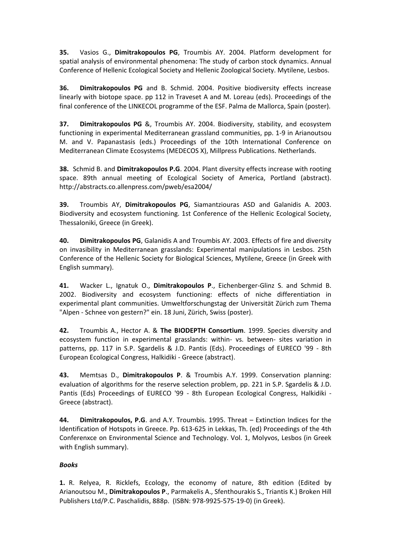**35.** Vasios G., **Dimitrakopoulos PG**, Troumbis AY. 2004. Platform development for spatial analysis of environmental phenomena: The study of carbon stock dynamics. Annual Conference of Hellenic Ecological Society and Hellenic Zoological Society. Mytilene, Lesbos.

**36. Dimitrakopoulos PG** and B. Schmid. 2004. Positive biodiversity effects increase linearly with biotope space. pp 112 in Traveset A and M. Loreau (eds). Proceedings of the final conference of the LINKECOL programme of the ESF. Palma de Mallorca, Spain (poster).

**37. Dimitrakopoulos PG** &, Troumbis AY. 2004. Biodiversity, stability, and ecosystem functioning in experimental Mediterranean grassland communities, pp. 1-9 in Arianoutsou M. and V. Papanastasis (eds.) Proceedings of the 10th International Conference on Mediterranean Climate Ecosystems (MEDECOS X), Millpress Publications. Netherlands.

**38.** Schmid B. and **Dimitrakopoulos P.G**. 2004. Plant diversity effects increase with rooting space. 89th annual meeting of Ecological Society of America, Portland (abstract). http://abstracts.co.allenpress.com/pweb/esa2004/

**39.** Troumbis AY, **Dimitrakopoulos PG**, Siamantziouras ASD and Galanidis A. 2003. Biodiversity and ecosystem functioning. 1st Conference of the Hellenic Ecological Society, Thessaloniki, Greece (in Greek).

**40. Dimitrakopoulos PG**, Galanidis A and Troumbis AY. 2003. Effects of fire and diversity on invasibility in Mediterranean grasslands: Experimental manipulations in Lesbos. 25th Conference of the Hellenic Society for Biological Sciences, Mytilene, Greece (in Greek with English summary).

**41.** Wacker L., Ignatuk O., **Dimitrakopoulos P**., Eichenberger-Glinz S. and Schmid B. 2002. Biodiversity and ecosystem functioning: effects of niche differentiation in experimental plant communities. Umweltforschungstag der Universität Zürich zum Thema "Alpen - Schnee von gestern?" ein. 18 Juni, Zürich, Swiss (poster).

**42.** Troumbis A., Hector A. & **The BIODEPTH Consortium**. 1999. Species diversity and ecosystem function in experimental grasslands: within- vs. between- sites variation in patterns, pp. 117 in S.P. Sgardelis & J.D. Pantis (Eds). Proceedings of EURECO '99 - 8th European Ecological Congress, Halkidiki - Greece (abstract).

**43.** Memtsas D., **Dimitrakopoulos P**. & Troumbis A.Y. 1999. Conservation planning: evaluation of algorithms for the reserve selection problem, pp. 221 in S.P. Sgardelis & J.D. Pantis (Eds) Proceedings of EURECO '99 - 8th European Ecological Congress, Halkidiki - Greece (abstract).

**44. Dimitrakopoulos, P.G**. and A.Y. Troumbis. 1995. Threat – Extinction Indices for the Identification of Hotspots in Greece. Pp. 613-625 in Lekkas, Th. (ed) Proceedings of the 4th Conferenxce on Environmental Science and Technology. Vol. 1, Molyvos, Lesbos (in Greek with English summary).

## *Books*

**1.** R. Relyea, R. Ricklefs, Ecology, the economy of nature, 8th edition (Edited by Arianoutsou M., **Dimitrakopoulos P**., Parmakelis A., Sfenthourakis S., Triantis K.) Broken Hill Publishers Ltd/P.C. Paschalidis, 888p. (ISBN: 978-9925-575-19-0) (in Greek).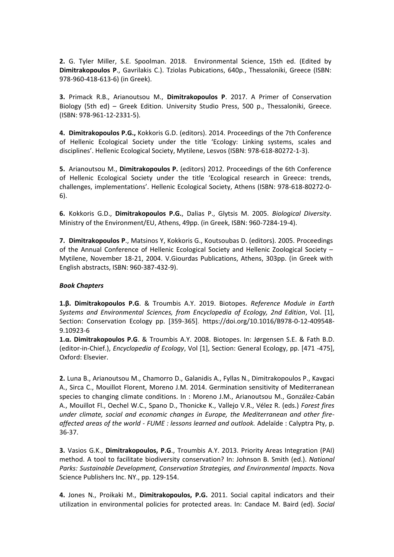**2.** G. Tyler Miller, S.Ε. Spoolman. 2018. Environmental Science, 15th ed. (Edited by **Dimitrakopoulos P**., Gavrilakis C.). Tziolas Pubications, 640p., Thessaloniki, Greece (ISBN: 978-960-418-613-6) (in Greek).

**3.** Primack R.B., Arianoutsou Μ., **Dimitrakopoulos P**. 2017. A Primer of Conservation Biology (5th ed) – Greek Edition. University Studio Press, 500 p., Thessaloniki, Greece. (ISBN: 978-961-12-2331-5).

**4. Dimitrakopoulos P.G.,** Kokkoris G.D. (editors). 2014. Proceedings of the 7th Conference of Hellenic Ecological Society under the title 'Ecology: Linking systems, scales and disciplines'. Hellenic Ecological Society, Mytilene, Lesvos (ISBN: 978-618-80272-1-3).

**5.** Arianoutsou Μ., **Dimitrakopoulos P.** (editors) 2012. Proceedings of the 6th Conference of Hellenic Ecological Society under the title 'Ecological research in Greece: trends, challenges, implementations'. Hellenic Ecological Society, Athens (ISBN: 978-618-80272-0- 6).

**6.** Kokkoris G.D., **Dimitrakopoulos P.G.**, Dalias P., Glytsis M. 2005. *Biological Diversity*. Ministry of the Environment/EU, Athens, 49pp. (in Greek, ISBN: 960-7284-19-4).

**7. Dimitrakopoulos P**., Matsinos Y, Kokkoris G., Koutsoubas D. (editors). 2005. Proceedings of the Annual Conference of Hellenic Ecological Society and Hellenic Zoological Society – Mytilene, November 18-21, 2004. V.Giourdas Publications, Athens, 303pp. (in Greek with English abstracts, ISBN: 960-387-432-9).

## *Book Chapters*

**1.β. Dimitrakopoulos P.G**. & Troumbis A.Y. 2019. Biotopes. *Reference Module in Earth Systems and Environmental Sciences, from Encyclopedia of Ecology, 2nd Edition*, Vol. [1], Section: Conservation Ecology pp. [359-365]. https://doi.org/10.1016/B978-0-12-409548- 9.10923-6

**1.α. Dimitrakopoulos P.G**. & Troumbis A.Y. 2008. Biotopes. In: Jørgensen S.E. & Fath B.D. (editor-in-Chief.), *Encyclopedia of Ecology*, Vol [1], Section: General Ecology, pp. [471 -475], Oxford: Elsevier.

**2.** Luna B., Arianoutsou M., Chamorro D., Galanidis A., Fyllas N., Dimitrakopoulos P., Kavgaci A., Sirca C., Mouillot Florent, Moreno J.M. 2014. Germination sensitivity of Mediterranean species to changing climate conditions. In : Moreno J.M., Arianoutsou M., González-Cabán A., Mouillot Fl., Oechel W.C., Spano D., Thonicke K., Vallejo V.R., Vélez R. (eds.) *Forest fires under climate, social and economic changes in Europe, the Mediterranean and other fireaffected areas of the world - FUME : lessons learned and outlook.* Adelaïde : Calyptra Pty, p. 36-37.

**3.** Vasios G.K., **Dimitrakopoulos, P.G**., Troumbis A.Y. 2013. Priority Areas Integration (PAI) method. A tool to facilitate biodiversity conservation? In: Johnson B. Smith (ed.). *National Parks: Sustainable Development, Conservation Strategies, and Environmental Impacts*. Nova Science Publishers Inc. NY., pp. 129-154.

**4.** Jones Ν., Proikaki Μ., **Dimitrakopoulos, P.G.** 2011. Social capital indicators and their utilization in environmental policies for protected areas. In: Candace M. Baird (ed). *Social*